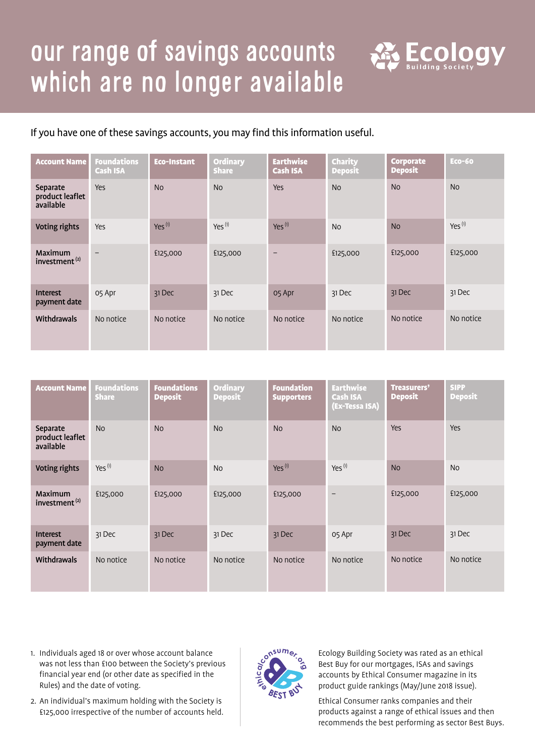## our range of savings accounts which are no longer available



If you have one of these savings accounts, you may find this information useful.

| <b>Account Name</b>                         | <b>Foundations</b><br><b>Cash ISA</b> | <b>Eco-Instant</b> | <b>Ordinary</b><br><b>Share</b> | <b>Earthwise</b><br><b>Cash ISA</b> | <b>Charity</b><br><b>Deposit</b> | <b>Corporate</b><br><b>Deposit</b> | <b>Eco-60</b>      |
|---------------------------------------------|---------------------------------------|--------------------|---------------------------------|-------------------------------------|----------------------------------|------------------------------------|--------------------|
| Separate<br>product leaflet<br>available    | <b>Yes</b>                            | <b>No</b>          | <b>No</b>                       | Yes                                 | <b>No</b>                        | <b>No</b>                          | <b>No</b>          |
| Voting rights                               | <b>Yes</b>                            | $Yes^{(1)}$        | $Yes^{(1)}$                     | $Yes^{(1)}$                         | <b>No</b>                        | <b>No</b>                          | Yes <sup>(1)</sup> |
| <b>Maximum</b><br>investment <sup>(2)</sup> | $\overline{\phantom{0}}$              | £125,000           | £125,000                        | -                                   | £125,000                         | £125,000                           | £125,000           |
| <b>Interest</b><br>payment date             | 05 Apr                                | 31 Dec             | 31 Dec                          | 05 Apr                              | 31 Dec                           | 31 Dec                             | 31 Dec             |
| Withdrawals                                 | No notice                             | No notice          | No notice                       | No notice                           | No notice                        | No notice                          | No notice          |

| <b>Account Name</b>                         | <b>Foundations</b><br><b>Share</b> | <b>Foundations</b><br><b>Deposit</b> | <b>Ordinary</b><br><b>Deposit</b> | <b>Foundation</b><br><b>Supporters</b> | <b>Earthwise</b><br><b>Cash ISA</b><br>(Ex-Tessa ISA) | Treasurers'<br><b>Deposit</b> | <b>SIPP</b><br><b>Deposit</b> |
|---------------------------------------------|------------------------------------|--------------------------------------|-----------------------------------|----------------------------------------|-------------------------------------------------------|-------------------------------|-------------------------------|
| Separate<br>product leaflet<br>available    | <b>No</b>                          | <b>No</b>                            | <b>No</b>                         | <b>No</b>                              | <b>No</b>                                             | <b>Yes</b>                    | Yes                           |
| <b>Voting rights</b>                        | $Yes^{(1)}$                        | <b>No</b>                            | <b>No</b>                         | $Yes^{(1)}$                            | $Yes^{(1)}$                                           | <b>No</b>                     | <b>No</b>                     |
| <b>Maximum</b><br>investment <sup>(2)</sup> | £125,000                           | £125,000                             | £125,000                          | £125,000                               | $\qquad \qquad -$                                     | £125,000                      | £125,000                      |
| <b>Interest</b><br>payment date             | 31 Dec                             | 31 Dec                               | 31 Dec                            | 31 Dec                                 | 05 Apr                                                | 31 Dec                        | 31 Dec                        |
| Withdrawals                                 | No notice                          | No notice                            | No notice                         | No notice                              | No notice                                             | No notice                     | No notice                     |

- 1. Individuals aged 18 or over whose account balance was not less than £100 between the Society's previous financial year end (or other date as specified in the Rules) and the date of voting.
- 2. An individual's maximum holding with the Society is £125,000 irrespective of the number of accounts held.



Ecology Building Society was rated as an ethical Best Buy for our mortgages, ISAs and savings accounts by Ethical Consumer magazine in its product guide rankings (May/June 2018 issue).

Ethical Consumer ranks companies and their products against a range of ethical issues and then recommends the best performing as sector Best Buys.